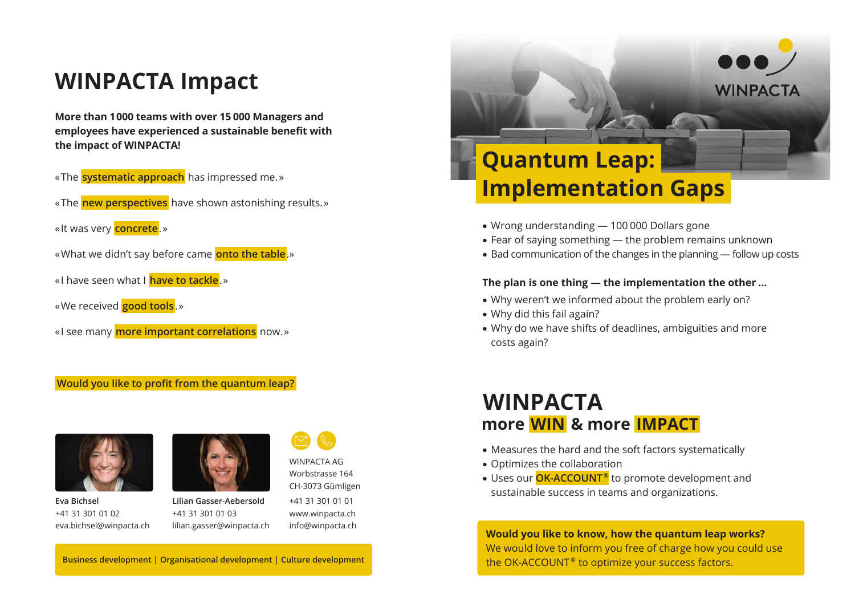## **WINPACTA Impact**

**More than 1 000 teams with over 15 000 Managers and employees have experienced a sustainable benefit with the impact of WINPACTA!**

- « The **systematic approach** has impressed me. »
- « The **new perspectives** have shown astonishing results. »
- « It was very **concrete**. »
- « What we didn't say before came **onto the table**.»
- « I have seen what I **have to tackle**. »
- « We received **good tools**. »
- « I see many **more important correlations** now. »

#### **Would you like to profit from the quantum leap?**



**Eva Bichsel** +41 31 301 01 02 eva.bichsel@winpacta.ch



**Lilian Gasser-Aebersold** +41 31 301 01 03 lilian.gasser@winpacta.ch



WINPACTA AG

www.winpacta.ch info@winpacta.ch

# **Quantum Leap: Implementation Gaps**

- Wrong understanding 100 000 Dollars gone
- Fear of saying something the problem remains unknown
- Bad communication of the changes in the planning follow up costs

**WINPACTA** 

### **The plan is one thing — the implementation the other …**

- Why weren't we informed about the problem early on?
- Why did this fail again?
- Why do we have shifts of deadlines, ambiguities and more costs again?

## **WINPACTA more  WIN  & more  IMPACT**

- Measures the hard and the soft factors systematically
- Optimizes the collaboration
- Uses our **OK-ACCOUNT ®** to promote development and sustainable success in teams and organizations.

**Would you like to know, how the quantum leap works?** We would love to inform you free of charge how you could use the OK-ACCOUNT<sup>®</sup> to optimize your success factors.

**Business development | Organisational development | Culture development**